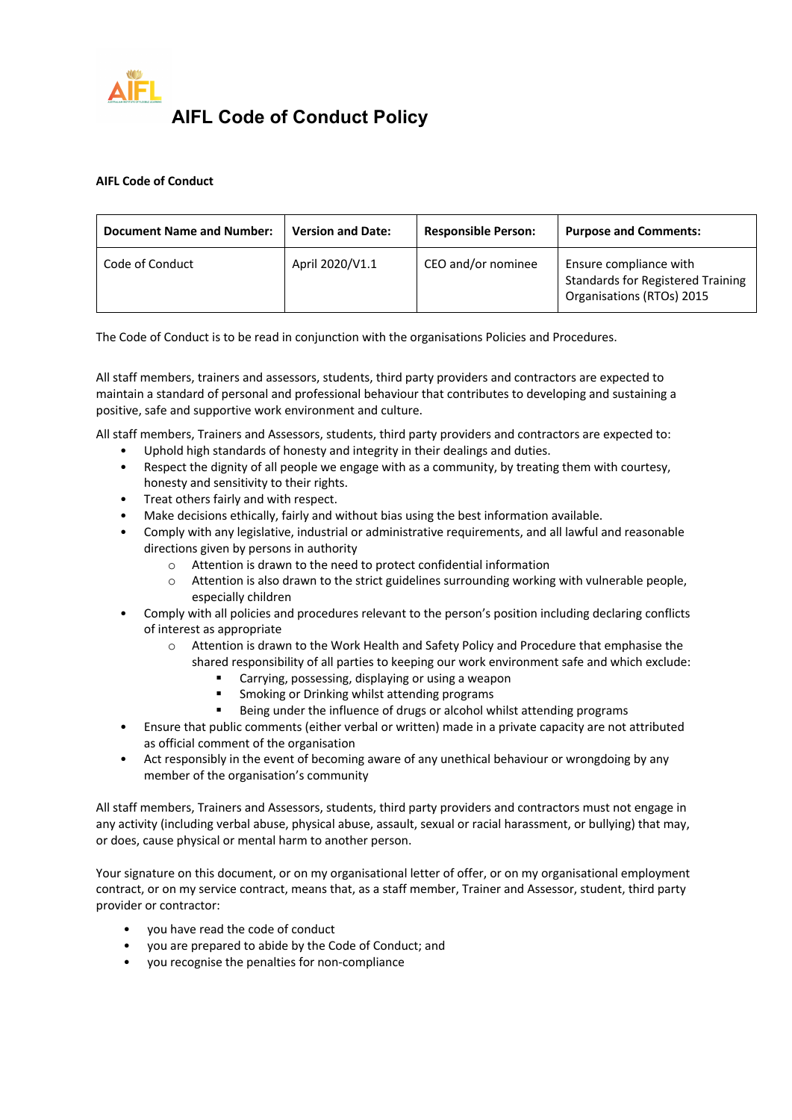

## **AIFL Code of Conduct**

| <b>Document Name and Number:</b> | <b>Version and Date:</b> | <b>Responsible Person:</b> | <b>Purpose and Comments:</b>                                                                    |
|----------------------------------|--------------------------|----------------------------|-------------------------------------------------------------------------------------------------|
| Code of Conduct                  | April 2020/V1.1          | CEO and/or nominee         | Ensure compliance with<br><b>Standards for Registered Training</b><br>Organisations (RTOs) 2015 |

The Code of Conduct is to be read in conjunction with the organisations Policies and Procedures.

All staff members, trainers and assessors, students, third party providers and contractors are expected to maintain a standard of personal and professional behaviour that contributes to developing and sustaining a positive, safe and supportive work environment and culture.

All staff members, Trainers and Assessors, students, third party providers and contractors are expected to:

- Uphold high standards of honesty and integrity in their dealings and duties.
- Respect the dignity of all people we engage with as a community, by treating them with courtesy, honesty and sensitivity to their rights.
- Treat others fairly and with respect.
- Make decisions ethically, fairly and without bias using the best information available.
- Comply with any legislative, industrial or administrative requirements, and all lawful and reasonable directions given by persons in authority
	- o Attention is drawn to the need to protect confidential information
	- $\circ$  Attention is also drawn to the strict guidelines surrounding working with vulnerable people, especially children
- Comply with all policies and procedures relevant to the person's position including declaring conflicts of interest as appropriate
	- o Attention is drawn to the Work Health and Safety Policy and Procedure that emphasise the shared responsibility of all parties to keeping our work environment safe and which exclude:
		- § Carrying, possessing, displaying or using a weapon
		- Smoking or Drinking whilst attending programs
		- Being under the influence of drugs or alcohol whilst attending programs
- Ensure that public comments (either verbal or written) made in a private capacity are not attributed as official comment of the organisation
- Act responsibly in the event of becoming aware of any unethical behaviour or wrongdoing by any member of the organisation's community

All staff members, Trainers and Assessors, students, third party providers and contractors must not engage in any activity (including verbal abuse, physical abuse, assault, sexual or racial harassment, or bullying) that may, or does, cause physical or mental harm to another person.

Your signature on this document, or on my organisational letter of offer, or on my organisational employment contract, or on my service contract, means that, as a staff member, Trainer and Assessor, student, third party provider or contractor:

- you have read the code of conduct
- you are prepared to abide by the Code of Conduct; and
- you recognise the penalties for non-compliance